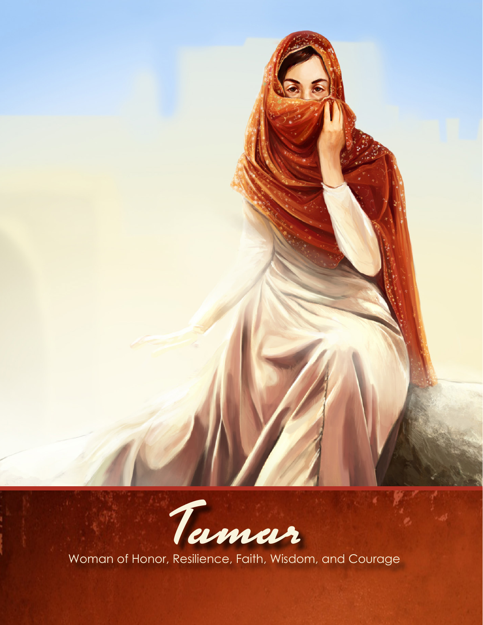Tamar

Woman of Honor, Resilience, Faith, Wisdom, and Courage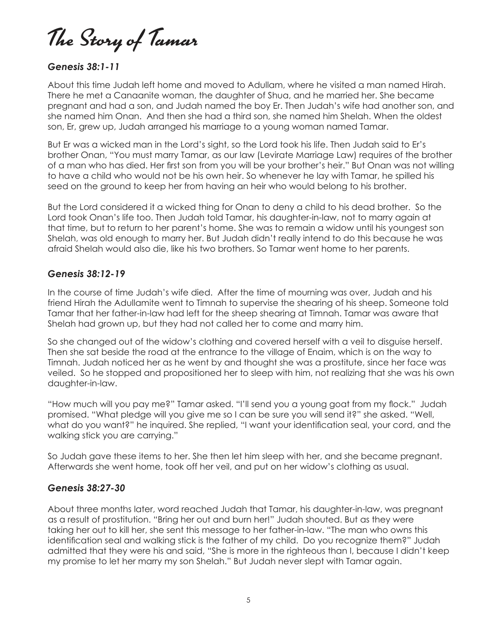The Story of Tamar

# *Genesis 38:1-11*

About this time Judah left home and moved to Adullam, where he visited a man named Hirah. There he met a Canaanite woman, the daughter of Shua, and he married her. She became pregnant and had a son, and Judah named the boy Er. Then Judah's wife had another son, and she named him Onan. And then she had a third son, she named him Shelah. When the oldest son, Er, grew up, Judah arranged his marriage to a young woman named Tamar.

But Er was a wicked man in the Lord's sight, so the Lord took his life. Then Judah said to Er's brother Onan, "You must marry Tamar, as our law (Levirate Marriage Law) requires of the brother of a man who has died. Her first son from you will be your brother's heir." But Onan was not willing to have a child who would not be his own heir. So whenever he lay with Tamar, he spilled his seed on the ground to keep her from having an heir who would belong to his brother.

But the Lord considered it a wicked thing for Onan to deny a child to his dead brother. So the Lord took Onan's life too. Then Judah told Tamar, his daughter-in-law, not to marry again at that time, but to return to her parent's home. She was to remain a widow until his youngest son Shelah, was old enough to marry her. But Judah didn't really intend to do this because he was afraid Shelah would also die, like his two brothers. So Tamar went home to her parents.

#### *Genesis 38:12-19*

In the course of time Judah's wife died. After the time of mourning was over, Judah and his friend Hirah the Adullamite went to Timnah to supervise the shearing of his sheep. Someone told Tamar that her father-in-law had left for the sheep shearing at Timnah. Tamar was aware that Shelah had grown up, but they had not called her to come and marry him.

So she changed out of the widow's clothing and covered herself with a veil to disguise herself. Then she sat beside the road at the entrance to the village of Enaim, which is on the way to Timnah. Judah noticed her as he went by and thought she was a prostitute, since her face was veiled. So he stopped and propositioned her to sleep with him, not realizing that she was his own daughter-in-law.

"How much will you pay me?" Tamar asked. "I'll send you a young goat from my flock." Judah promised. "What pledge will you give me so I can be sure you will send it?" she asked. "Well, what do you want?" he inquired. She replied, "I want your identification seal, your cord, and the walking stick you are carrying."

So Judah gave these items to her. She then let him sleep with her, and she became pregnant. Afterwards she went home, took off her veil, and put on her widow's clothing as usual.

#### *Genesis 38:27-30*

About three months later, word reached Judah that Tamar, his daughter-in-law, was pregnant as a result of prostitution. "Bring her out and burn her!" Judah shouted. But as they were taking her out to kill her, she sent this message to her father-in-law. "The man who owns this identification seal and walking stick is the father of my child. Do you recognize them?" Judah admitted that they were his and said, "She is more in the righteous than I, because I didn't keep my promise to let her marry my son Shelah." But Judah never slept with Tamar again.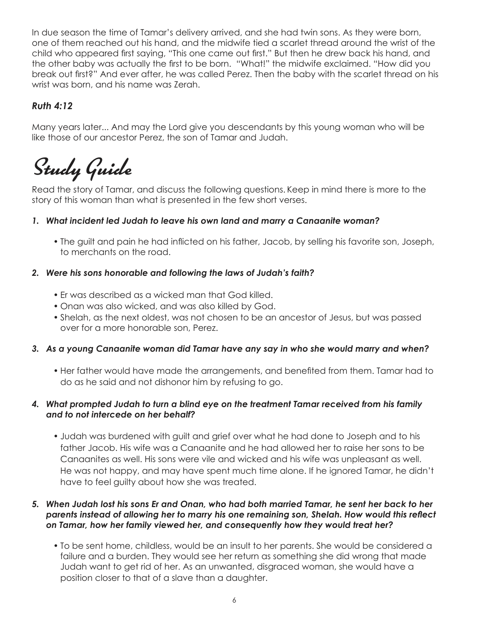In due season the time of Tamar's delivery arrived, and she had twin sons. As they were born, one of them reached out his hand, and the midwife tied a scarlet thread around the wrist of the child who appeared first saying, "This one came out first." But then he drew back his hand, and the other baby was actually the first to be born. "What!" the midwife exclaimed. "How did you break out first?" And ever after, he was called Perez. Then the baby with the scarlet thread on his wrist was born, and his name was Zerah.

# *Ruth 4:12*

Many years later... And may the Lord give you descendants by this young woman who will be like those of our ancestor Perez, the son of Tamar and Judah.

# Study Guide

Read the story of Tamar, and discuss the following questions. Keep in mind there is more to the story of this woman than what is presented in the few short verses.

# *1. What incident led Judah to leave his own land and marry a Canaanite woman?*

• The guilt and pain he had inflicted on his father, Jacob, by selling his favorite son, Joseph, to merchants on the road.

# *2. Were his sons honorable and following the laws of Judah's faith?*

- Er was described as a wicked man that God killed.
- Onan was also wicked, and was also killed by God.
- Shelah, as the next oldest, was not chosen to be an ancestor of Jesus, but was passed over for a more honorable son, Perez.

# *3. As a young Canaanite woman did Tamar have any say in who she would marry and when?*

• Her father would have made the arrangements, and benefited from them. Tamar had to do as he said and not dishonor him by refusing to go.

# *4. What prompted Judah to turn a blind eye on the treatment Tamar received from his family and to not intercede on her behalf?*

• Judah was burdened with guilt and grief over what he had done to Joseph and to his father Jacob. His wife was a Canaanite and he had allowed her to raise her sons to be Canaanites as well. His sons were vile and wicked and his wife was unpleasant as well. He was not happy, and may have spent much time alone. If he ignored Tamar, he didn't have to feel guilty about how she was treated.

### *5. When Judah lost his sons Er and Onan, who had both married Tamar, he sent her back to her parents instead of allowing her to marry his one remaining son, Shelah. How would this reflect on Tamar, how her family viewed her, and consequently how they would treat her?*

• To be sent home, childless, would be an insult to her parents. She would be considered a failure and a burden. They would see her return as something she did wrong that made Judah want to get rid of her. As an unwanted, disgraced woman, she would have a position closer to that of a slave than a daughter.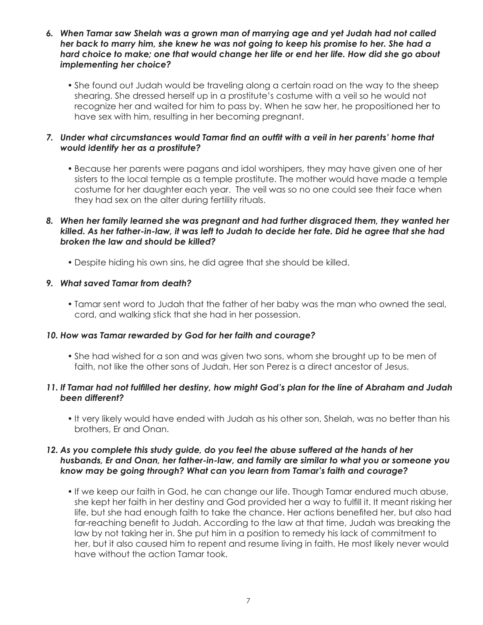- *6. When Tamar saw Shelah was a grown man of marrying age and yet Judah had not called her back to marry him, she knew he was not going to keep his promise to her. She had a hard choice to make; one that would change her life or end her life. How did she go about implementing her choice?*
	- She found out Judah would be traveling along a certain road on the way to the sheep shearing. She dressed herself up in a prostitute's costume with a veil so he would not recognize her and waited for him to pass by. When he saw her, he propositioned her to have sex with him, resulting in her becoming pregnant.

#### *7. Under what circumstances would Tamar find an outfit with a veil in her parents' home that would identify her as a prostitute?*

- Because her parents were pagans and idol worshipers, they may have given one of her sisters to the local temple as a temple prostitute. The mother would have made a temple costume for her daughter each year. The veil was so no one could see their face when they had sex on the alter during fertility rituals.
- *8. When her family learned she was pregnant and had further disgraced them, they wanted her killed. As her father-in-law, it was left to Judah to decide her fate. Did he agree that she had broken the law and should be killed?*
	- Despite hiding his own sins, he did agree that she should be killed.

### *9. What saved Tamar from death?*

• Tamar sent word to Judah that the father of her baby was the man who owned the seal, cord, and walking stick that she had in her possession.

# *10. How was Tamar rewarded by God for her faith and courage?*

• She had wished for a son and was given two sons, whom she brought up to be men of faith, not like the other sons of Judah. Her son Perez is a direct ancestor of Jesus.

### *11. If Tamar had not fulfilled her destiny, how might God's plan for the line of Abraham and Judah been different?*

• It very likely would have ended with Judah as his other son, Shelah, was no better than his brothers, Er and Onan.

#### *12. As you complete this study guide, do you feel the abuse suffered at the hands of her husbands, Er and Onan, her father-in-law, and family are similar to what you or someone you know may be going through? What can you learn from Tamar's faith and courage?*

• If we keep our faith in God, he can change our life. Though Tamar endured much abuse, she kept her faith in her destiny and God provided her a way to fulfill it. It meant risking her life, but she had enough faith to take the chance. Her actions benefited her, but also had far-reaching benefit to Judah. According to the law at that time, Judah was breaking the law by not taking her in. She put him in a position to remedy his lack of commitment to her, but it also caused him to repent and resume living in faith. He most likely never would have without the action Tamar took.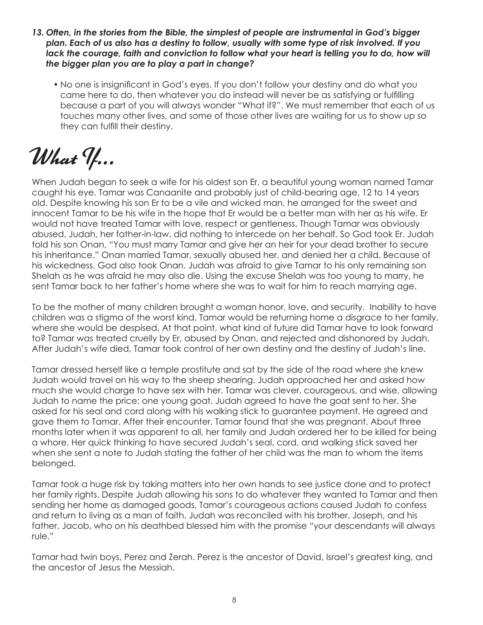- *13. Often, in the stories from the Bible, the simplest of people are instrumental in God's bigger plan. Each of us also has a destiny to follow, usually with some type of risk involved. If you lack the courage, faith and conviction to follow what your heart is telling you to do, how will the bigger plan you are to play a part in change?*
	- No one is insignificant in God's eyes. If you don't follow your destiny and do what you came here to do, then whatever you do instead will never be as satisfying or fulfilling because a part of you will always wonder "What if?". We must remember that each of us touches many other lives, and some of those other lives are waiting for us to show up so they can fulfill their destiny.

What If...

When Judah began to seek a wife for his oldest son Er, a beautiful young woman named Tamar caught his eye. Tamar was Canaanite and probably just of child-bearing age, 12 to 14 years old. Despite knowing his son Er to be a vile and wicked man, he arranged for the sweet and innocent Tamar to be his wife in the hope that Er would be a better man with her as his wife. Er would not have treated Tamar with love, respect or gentleness. Though Tamar was obviously abused, Judah, her father-in-law, did nothing to intercede on her behalf. So God took Er. Judah told his son Onan, "You must marry Tamar and give her an heir for your dead brother to secure his inheritance." Onan married Tamar, sexually abused her, and denied her a child. Because of his wickedness, God also took Onan. Judah was afraid to give Tamar to his only remaining son Shelah as he was afraid he may also die. Using the excuse Shelah was too young to marry, he sent Tamar back to her father's home where she was to wait for him to reach marrying age.

To be the mother of many children brought a woman honor, love, and security. Inability to have children was a stigma of the worst kind. Tamar would be returning home a disgrace to her family, where she would be despised. At that point, what kind of future did Tamar have to look forward to? Tamar was treated cruelly by Er, abused by Onan, and rejected and dishonored by Judah. After Judah's wife died, Tamar took control of her own destiny and the destiny of Judah's line.

Tamar dressed herself like a temple prostitute and sat by the side of the road where she knew Judah would travel on his way to the sheep shearing. Judah approached her and asked how much she would charge to have sex with her. Tamar was clever, courageous, and wise, allowing Judah to name the price; one young goat. Judah agreed to have the goat sent to her. She asked for his seal and cord along with his walking stick to guarantee payment. He agreed and gave them to Tamar. After their encounter, Tamar found that she was pregnant. About three months later when it was apparent to all, her family and Judah ordered her to be killed for being a whore. Her quick thinking to have secured Judah's seal, cord, and walking stick saved her when she sent a note to Judah stating the father of her child was the man to whom the items belonged.

Tamar took a huge risk by taking matters into her own hands to see justice done and to protect her family rights. Despite Judah allowing his sons to do whatever they wanted to Tamar and then sending her home as damaged goods, Tamar's courageous actions caused Judah to confess and return to living as a man of faith. Judah was reconciled with his brother, Joseph, and his father, Jacob, who on his deathbed blessed him with the promise "your descendants will always rule."

Tamar had twin boys, Perez and Zerah. Perez is the ancestor of David, Israel's greatest king, and the ancestor of Jesus the Messiah.